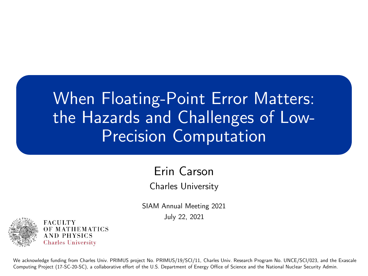# When Floating-Point Error Matters: the Hazards and Challenges of Low-Precision Computation

#### Erin Carson

Charles University

SIAM Annual Meeting 2021 July 22, 2021



We acknowledge funding from Charles Univ. PRIMUS project No. PRIMUS/19/SCI/11, Charles Univ. Research Program No. UNCE/SCI/023, and the Exascale Computing Project (17-SC-20-SC), a collaborative effort of the U.S. Department of Energy Office of Science and the National Nuclear Security Admin.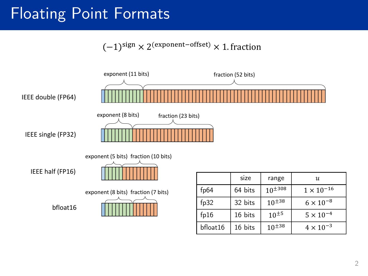### Floating Point Formats

$$
(-1)^{\text{sign}} \times 2^{(\text{exponent-offset})} \times 1.
$$
 fraction

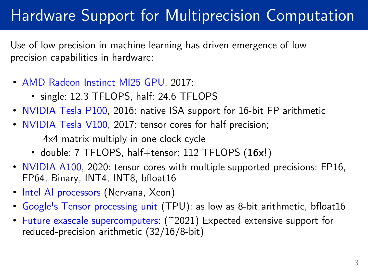# Hardware Support for Multiprecision Computation

Use of low precision in machine learning has driven emergence of lowprecision capabilities in hardware:

- AMD Radeon Instinct MI25 GPU, 2017:
	- single: 12.3 TFLOPS, half: 24.6 TFLOPS
- NVIDIA Tesla P100, 2016: native ISA support for 16-bit FP arithmetic
- NVIDIA Tesla V100, 2017: tensor cores for half precision;

4x4 matrix multiply in one clock cycle

- double: 7 TFLOPS, half+tensor: 112 TFLOPS (16x!)
- NVIDIA A100, 2020: tensor cores with multiple supported precisions: FP16, FP64, Binary, INT4, INT8, bfloat16
- Intel AI processors (Nervana, Xeon)
- Google's Tensor processing unit (TPU): as low as 8-bit arithmetic, bfloat16
- Future exascale supercomputers: (~2021) Expected extensive support for reduced-precision arithmetic (32/16/8-bit)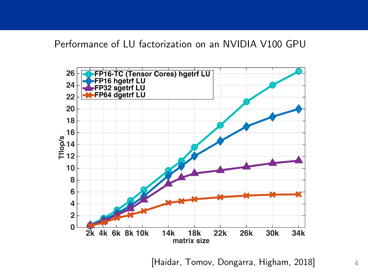#### Performance of LU factorization on an NVIDIA V100 GPU



[Haidar, Tomov, Dongarra, Higham, 2018] 4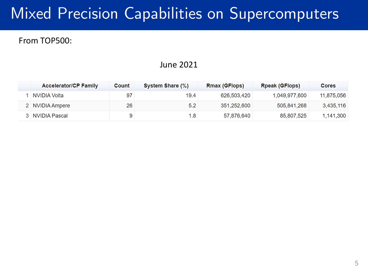### Mixed Precision Capabilities on Supercomputers

#### From TOP500:

#### June 2021

| <b>Accelerator/CP Family</b> | Count | System Share (%) | <b>Rmax (GFlops)</b> | <b>Rpeak (GFlops)</b> | <b>Cores</b> |
|------------------------------|-------|------------------|----------------------|-----------------------|--------------|
| ⊟NVIDIA Volta                | 97    | 19.4             | 626,503,420          | 1,049,977,600         | 11,875,056   |
| 2 NVIDIA Ampere              | 26    | 5.2              | 351,252,600          | 505,841,268           | 3,435,116    |
| 3   NVIDIA Pascal            |       | 1.8              | 57,876,640           | 85,807,525            | 1,141,300    |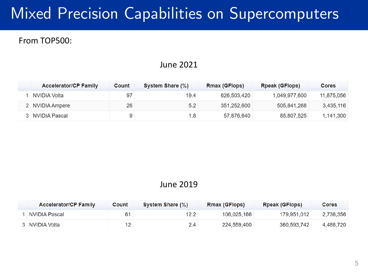## Mixed Precision Capabilities on Supercomputers

#### From TOP500:

#### June 2021

| <b>Accelerator/CP Family</b> | Count | System Share (%) | <b>Rmax (GFlops)</b> | <b>Rpeak (GFlops)</b> | <b>Cores</b> |
|------------------------------|-------|------------------|----------------------|-----------------------|--------------|
| ∣ NVIDIA Volta               | 97    | 19.4             | 626,503,420          | 1,049,977,600         | 11,875,056   |
| 2 NVIDIA Ampere              | 26    | 5.2              | 351,252,600          | 505,841,268           | 3,435,116    |
| 3   NVIDIA Pascal            |       | 1.8              | 57,876,640           | 85,807,525            | 1,141,300    |

#### June 2019

| <b>Accelerator/CP Family</b> | Count | System Share (%) | <b>Rmax (GFlops)</b> | <b>Rpeak (GFlops)</b> | <b>Cores</b> |
|------------------------------|-------|------------------|----------------------|-----------------------|--------------|
| NVIDIA Pascal                | 61    | 12.2             | 106.025.166          | 179.951.012           | 2,738,356    |
| 3 NVIDIA Volta               |       | 2.4              | 224,559,400          | 360,593,742           | 4.488.720    |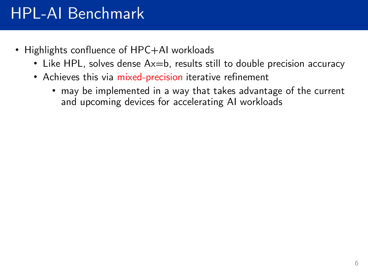### HPL-AI Benchmark

- Highlights confluence of HPC+AI workloads
	- Like HPL, solves dense Ax=b, results still to double precision accuracy
	- Achieves this via mixed-precision iterative refinement
		- may be implemented in a way that takes advantage of the current and upcoming devices for accelerating AI workloads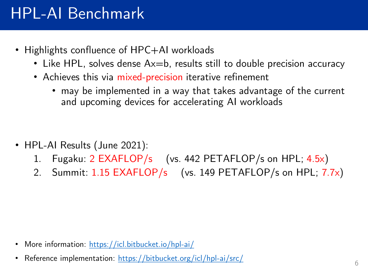### HPL-AI Benchmark

- Highlights confluence of HPC+AI workloads
	- Like HPL, solves dense  $Ax=b$ , results still to double precision accuracy
	- Achieves this via mixed-precision iterative refinement
		- may be implemented in a way that takes advantage of the current and upcoming devices for accelerating AI workloads

- HPL-AI Results (June 2021):
	- 1. Fugaku: 2 EXAFLOP/s (vs. 442 PETAFLOP/s on HPL; 4.5x)
	- 2. Summit: 1.15 EXAFLOP/s (vs. 149 PETAFLOP/s on HPL; 7.7x)

- More information: <https://icl.bitbucket.io/hpl-ai/>
- Reference implementation: <https://bitbucket.org/icl/hpl-ai/src/>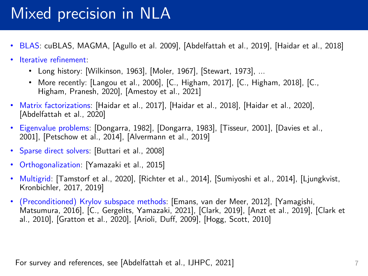### Mixed precision in NLA

- BLAS: cuBLAS, MAGMA, [Agullo et al. 2009], [Abdelfattah et al., 2019], [Haidar et al., 2018]
- Iterative refinement:
	- Long history: [Wilkinson, 1963], [Moler, 1967], [Stewart, 1973], …
	- More recently: [Langou et al., 2006], [C., Higham, 2017], [C., Higham, 2018], [C., Higham, Pranesh, 2020], [Amestoy et al., 2021]
- Matrix factorizations: [Haidar et al., 2017], [Haidar et al., 2018], [Haidar et al., 2020], [Abdelfattah et al., 2020]
- Eigenvalue problems: [Dongarra, 1982], [Dongarra, 1983], [Tisseur, 2001], [Davies et al., 2001], [Petschow et al., 2014], [Alvermann et al., 2019]
- Sparse direct solvers: [Buttari et al., 2008]
- Orthogonalization: [Yamazaki et al., 2015]
- Multigrid: [Tamstorf et al., 2020], [Richter et al., 2014], [Sumiyoshi et al., 2014], [Ljungkvist, Kronbichler, 2017, 2019]
- (Preconditioned) Krylov subspace methods: [Emans, van der Meer, 2012], [Yamagishi, Matsumura, 2016], [C., Gergelits, Yamazaki, 2021], [Clark, 2019], [Anzt et al., 2019], [Clark et al., 2010], [Gratton et al., 2020], [Arioli, Duff, 2009], [Hogg, Scott, 2010]

For survey and references, see [Abdelfattah et al., IJHPC, 2021]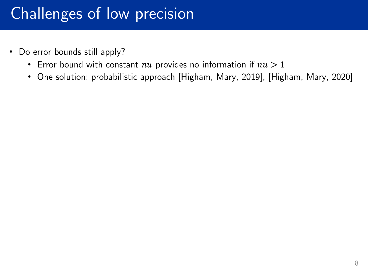- Do error bounds still apply?
	- Error bound with constant  $nu$  provides no information if  $nu > 1$
	- One solution: probabilistic approach [Higham, Mary, 2019], [Higham, Mary, 2020]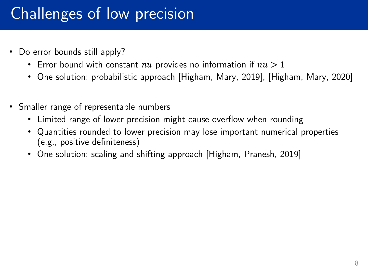- Do error bounds still apply?
	- Error bound with constant  $nu$  provides no information if  $nu > 1$
	- One solution: probabilistic approach [Higham, Mary, 2019], [Higham, Mary, 2020]
- Smaller range of representable numbers
	- Limited range of lower precision might cause overflow when rounding
	- Quantities rounded to lower precision may lose important numerical properties (e.g., positive definiteness)
	- One solution: scaling and shifting approach [Higham, Pranesh, 2019]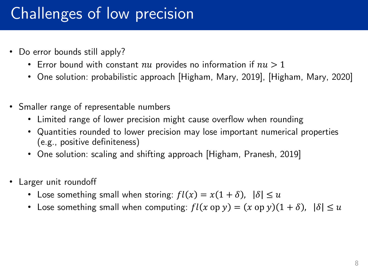- Do error bounds still apply?
	- Error bound with constant  $nu$  provides no information if  $nu > 1$
	- One solution: probabilistic approach [Higham, Mary, 2019], [Higham, Mary, 2020]
- Smaller range of representable numbers
	- Limited range of lower precision might cause overflow when rounding
	- Quantities rounded to lower precision may lose important numerical properties (e.g., positive definiteness)
	- One solution: scaling and shifting approach [Higham, Pranesh, 2019]
- Larger unit roundoff
	- Lose something small when storing:  $fl(x) = x(1 + \delta)$ ,  $|\delta| \le u$
	- Lose something small when computing:  $fl(x \text{ op } y) = (x \text{ op } y)(1 + \delta)$ ,  $|\delta| \le u$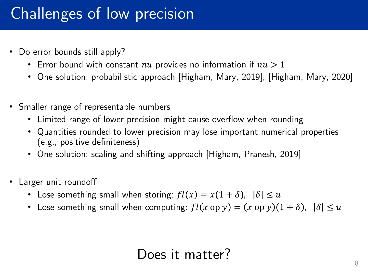- Do error bounds still apply?
	- Error bound with constant  $nu$  provides no information if  $nu > 1$
	- One solution: probabilistic approach [Higham, Mary, 2019], [Higham, Mary, 2020]
- Smaller range of representable numbers
	- Limited range of lower precision might cause overflow when rounding
	- Quantities rounded to lower precision may lose important numerical properties (e.g., positive definiteness)
	- One solution: scaling and shifting approach [Higham, Pranesh, 2019]
- Larger unit roundoff
	- Lose something small when storing:  $fl(x) = x(1 + \delta)$ ,  $|\delta| \le u$
	- Lose something small when computing:  $fl(x \text{ op } y) = (x \text{ op } y)(1 + \delta)$ ,  $|\delta| \le u$

#### Does it matter?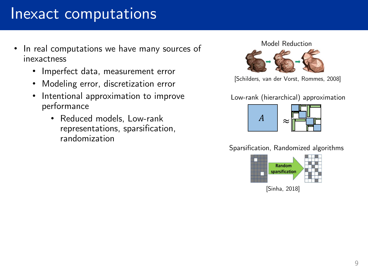#### Inexact computations

- In real computations we have many sources of inexactness
	- Imperfect data, measurement error
	- Modeling error, discretization error
	- Intentional approximation to improve performance
		- Reduced models, Low-rank representations, sparsification, randomization

Model Reduction



[Schilders, van der Vorst, Rommes, 2008]

Low-rank (hierarchical) approximation



Sparsification, Randomized algorithms

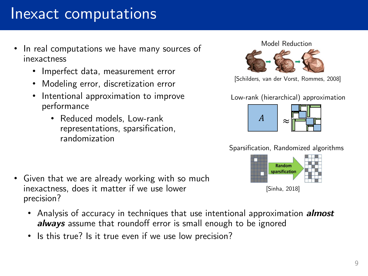#### Inexact computations

- In real computations we have many sources of inexactness
	- Imperfect data, measurement error
	- Modeling error, discretization error
	- Intentional approximation to improve performance
		- Reduced models, Low-rank representations, sparsification, randomization

- Given that we are already working with so much inexactness, does it matter if we use lower precision?
	- Analysis of accuracy in techniques that use intentional approximation *almost always* assume that roundoff error is small enough to be ignored
	- Is this true? Is it true even if we use low precision?

#### Model Reduction



[Schilders, van der Vorst, Rommes, 2008]

Low-rank (hierarchical) approximation



Sparsification, Randomized algorithms

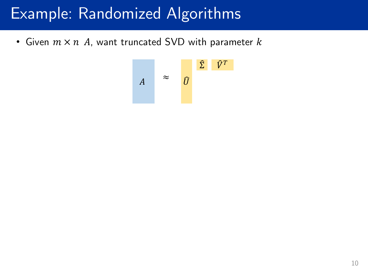### Example: Randomized Algorithms

• Given  $m \times n$  A, want truncated SVD with parameter  $k$ 

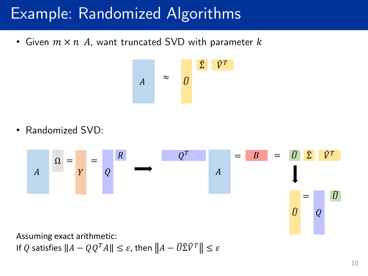### Example: Randomized Algorithms

• Given  $m \times n$  A, want truncated SVD with parameter  $k$ 



• Randomized SVD:

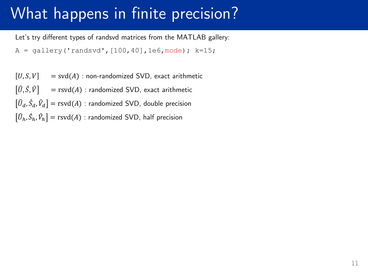Let's try different types of randsvd matrices from the MATLAB gallery:

 $A = q$ allery('randsvd', [100,40],1e6, mode); k=15;

 $[U, S, V]$  = svd(A) : non-randomized SVD, exact arithmetic

 $[\widehat{U}, \widehat{S}, \widehat{V}]$  = rsvd(A) : randomized SVD, exact arithmetic

 $[\widehat{U}_{d}, \hat{S}_{d}, \widehat{V}_{d}] = \text{rsvd}(A)$  : randomized SVD, double precision

 $\widehat{U}_h, \widehat{S}_h, \widehat{V}_h \big] = \text{rsvd}(A)$  : randomized SVD, half precision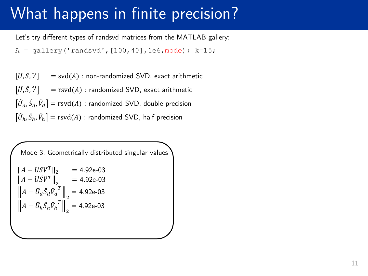Let's try different types of randsvd matrices from the MATLAB gallery:

 $A = q$ allery('randsvd', [100,40], 1e6, mode); k=15;

 $[U, S, V]$  = svd(A) : non-randomized SVD, exact arithmetic  $[\widehat{U}, \widehat{S}, \widehat{V}]$  = rsvd(A) : randomized SVD, exact arithmetic  $[\widehat{U}_{d}, \hat{S}_{d}, \widehat{V}_{d}] = \text{rsvd}(A)$  : randomized SVD, double precision  $\widehat{U}_h, \widehat{S}_h, \widehat{V}_h \big] = \text{rsvd}(A)$  : randomized SVD, half precision

Mode 3: Geometrically distributed singular values  $A - USV^T \|_2 = 4.92e-03$  $A - \widehat{U} \widehat{S} \widehat{V}^T \Big\|_{2} = 4.92$ e-03  $A - \widehat{U}_d \widehat{S}_d \widehat{V}_d$ T 2  $= 4.92e-03$  $A - \widehat{U}_h \widehat{S}_h \widehat{V}_h$ T 2  $= 4.92e-03$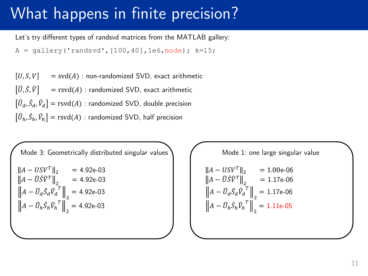Let's try different types of randsvd matrices from the MATLAB gallery:

 $A = q$ allery('randsvd', [100,40],1e6, mode); k=15;

 $[U, S, V]$  = svd(A) : non-randomized SVD, exact arithmetic  $[\hat{U}, \hat{S}, \hat{V}]$  = rsvd(A) : randomized SVD, exact arithmetic  $[\widehat{U}_{d}, \hat{S}_{d}, \widehat{V}_{d}] = \text{rsvd}(A)$  : randomized SVD, double precision  $\widehat{U}_h, \widehat{S}_h, \widehat{V}_h \big] = \text{rsvd}(A)$  : randomized SVD, half precision

Mode 3: Geometrically distributed singular values  $A - USV^T \|_2 = 4.92e-03$  $A - \widehat{U} \widehat{S} \widehat{V}^T \Big\|_{2} = 4.92$ e-03  $A - \widehat{U}_d \widehat{S}_d \widehat{V}_d$ T 2  $= 4.92e-03$  $A - \widehat{U}_h \widehat{S}_h \widehat{V}_h$ T 2  $= 4.92e-03$ 

Mode 1: one large singular value  $A - USV^T \|_2 = 1.00$ e-06  $\left. A - \widehat{U} \widehat{S} \widehat{V}^T \right\|_2 = 1.17$ e-06  $A - \widehat{U}_d \widehat{S}_d \widehat{V}_d$ T 2  $= 1.17e-06$  $A - \widehat{U}_h \widehat{S}_h \widehat{V}_h$ T 2  $= 1.11e-05$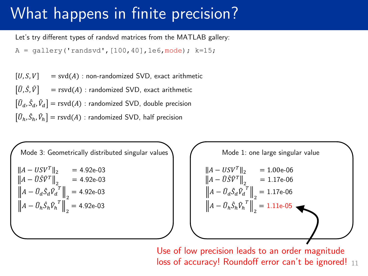Let's try different types of randsvd matrices from the MATLAB gallery:

 $A = q$ allery('randsvd', [100,40],1e6, mode); k=15;

 $[U, S, V]$  = svd(A) : non-randomized SVD, exact arithmetic  $[\hat{U}, \hat{S}, \hat{V}]$  = rsvd(A) : randomized SVD, exact arithmetic  $[\widehat{U}_{d}, \hat{S}_{d}, \widehat{V}_{d}] = \text{rsvd}(A)$  : randomized SVD, double precision  $\widehat{U}_h, \widehat{S}_h, \widehat{V}_h \big] = \text{rsvd}(A)$  : randomized SVD, half precision

Mode 3: Geometrically distributed singular values  $A - USV^T \|_2 = 4.92e-03$  $A - \widehat{U} \widehat{S} \widehat{V}^T \Big\|_{2} = 4.92$ e-03  $A - \widehat{U}_d \widehat{S}_d \widehat{V}_d$ T 2  $= 4.92e-03$  $A - \widehat{U}_h \widehat{S}_h \widehat{V}_h$ T 2  $= 4.92e-03$ 

Mode 1: one large singular value  $A - USV^T \|_2 = 1.00$ e-06  $\left. A - \widehat{U} \widehat{S} \widehat{V}^T \right\|_2 = 1.17$ e-06  $A - \widehat{U}_d \widehat{S}_d \widehat{V}_d$ T 2  $= 1.17e-06$  $A - \widehat{U}_h \widehat{S}_h \widehat{V}_h$ T 2  $= 1.11e-05$ 

 $loss$  of accuracy! Roundoff error can't be ignored!  $_{11}$ Use of low precision leads to an order magnitude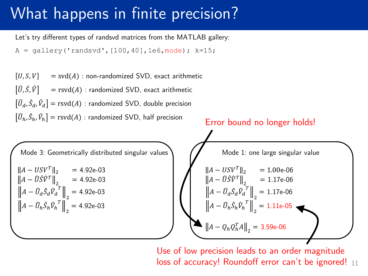Let's try different types of randsvd matrices from the MATLAB gallery:

```
A = qallery('randsvd', [100,40], 1e6, mode); k=15;
```


 $loss$  of accuracy! Roundoff error can't be ignored!  $_{11}$ Use of low precision leads to an order magnitude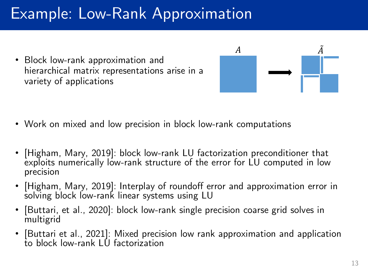• Block low-rank approximation and hierarchical matrix representations arise in a variety of applications



- Work on mixed and low precision in block low-rank computations
- [Higham, Mary, 2019]: block low-rank LU factorization preconditioner that exploits numerically low-rank structure of the error for LU computed in low precision
- [Higham, Mary, 2019]: Interplay of roundoff error and approximation error in solving block low-rank linear systems using LU
- [Buttari, et al., 2020]: block low-rank single precision coarse grid solves in multigrid
- [Buttari et al., 2021]: Mixed precision low rank approximation and application to block low-rank LU factorization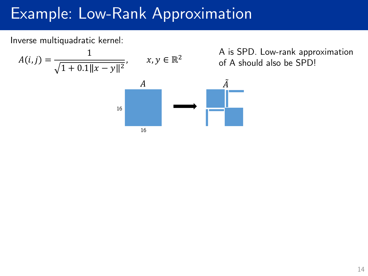#### Inverse multiquadratic kernel:

$$
A(i,j) = \frac{1}{\sqrt{1 + 0.1||x - y||^2}}, \qquad x, y \in \mathbb{R}^2
$$

is SPD. Low-rank approximation A should also be SPD!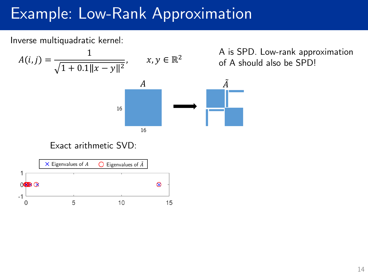#### Inverse multiquadratic kernel:

$$
A(i,j) = \frac{1}{\sqrt{1 + 0.1||x - y||^2}}, \quad x, y \in \mathbb{R}^2
$$
 of  
*A*

16

16

A is SPD. Low-rank approximation of A should also be SPD!

#### Exact arithmetic SVD:

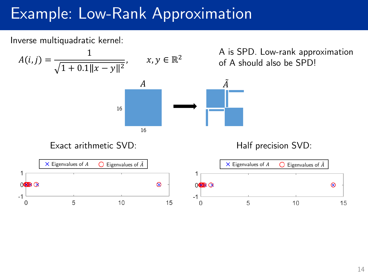#### Inverse multiquadratic kernel:

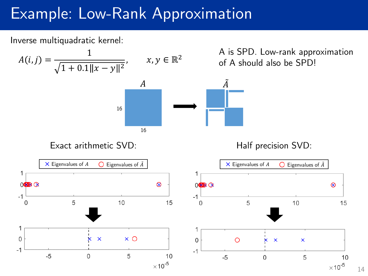#### Inverse multiquadratic kernel:

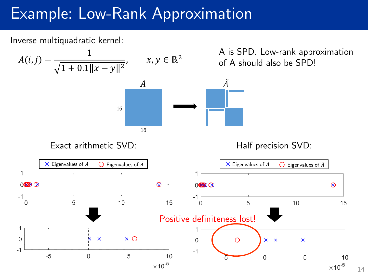#### Inverse multiquadratic kernel:



14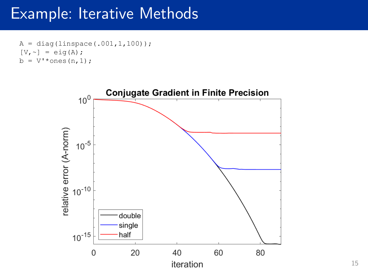#### Example: Iterative Methods

```
A = diag(linspace(.001, 1, 100));[V, \sim] = eig(A);b = V' * ones(n, 1);
```
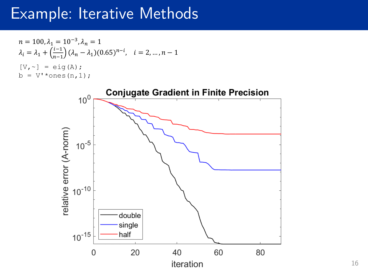#### Example: Iterative Methods

$$
n = 100, \lambda_1 = 10^{-3}, \lambda_n = 1
$$
  
\n
$$
\lambda_i = \lambda_1 + \left(\frac{i-1}{n-1}\right) (\lambda_n - \lambda_1) (0.65)^{n-i}, \quad i = 2, ..., n-1
$$
  
\n[V, ~] = eig (A) ;  
\nb = V' \* ones (n, 1);

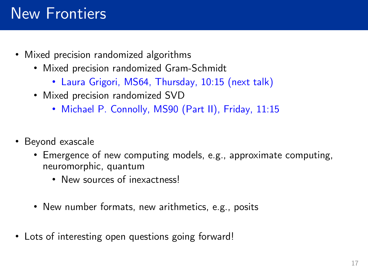#### New Frontiers

- Mixed precision randomized algorithms
	- Mixed precision randomized Gram-Schmidt
		- Laura Grigori, MS64, Thursday, 10:15 (next talk)
	- Mixed precision randomized SVD
		- Michael P. Connolly, MS90 (Part II), Friday, 11:15
- Beyond exascale
	- Emergence of new computing models, e.g., approximate computing, neuromorphic, quantum
		- New sources of inexactness!
	- New number formats, new arithmetics, e.g., posits
- Lots of interesting open questions going forward!